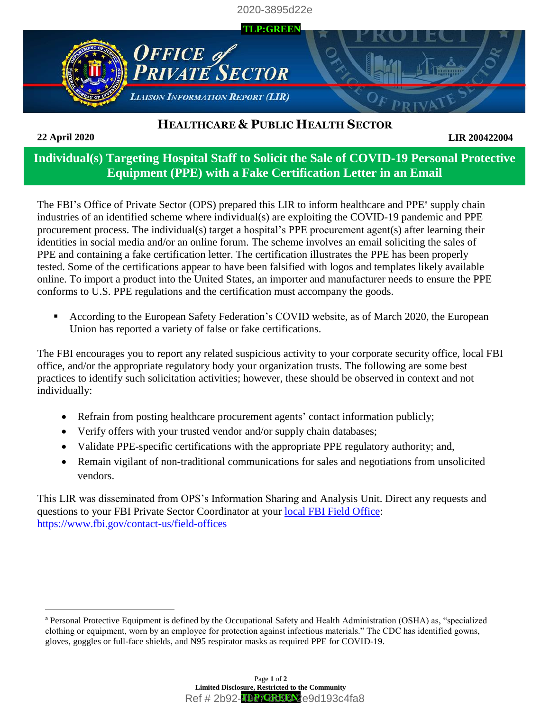2020-3895d22e



## **HEALTHCARE & PUBLIC HEALTH SECTOR**

**22 April 2020**

 $\overline{a}$ 

## **LIR 200422004**

## **Individual(s) Targeting Hospital Staff to Solicit the Sale of COVID-19 Personal Protective Equipment (PPE) with a Fake Certification Letter in an Email**

The FBI's Office of Private Sector (OPS) prepared this LIR to inform healthcare and PPE<sup>a</sup> supply chain industries of an identified scheme where individual(s) are exploiting the COVID-19 pandemic and PPE procurement process. The individual(s) target a hospital's PPE procurement agent(s) after learning their identities in social media and/or an online forum. The scheme involves an email soliciting the sales of PPE and containing a fake certification letter. The certification illustrates the PPE has been properly tested. Some of the certifications appear to have been falsified with logos and templates likely available online. To import a product into the United States, an importer and manufacturer needs to ensure the PPE conforms to U.S. PPE regulations and the certification must accompany the goods.

■ According to the European Safety Federation's COVID website, as of March 2020, the European Union has reported a variety of false or fake certifications.

The FBI encourages you to report any related suspicious activity to your corporate security office, local FBI office, and/or the appropriate regulatory body your organization trusts. The following are some best practices to identify such solicitation activities; however, these should be observed in context and not individually:

- Refrain from posting healthcare procurement agents' contact information publicly;
- Verify offers with your trusted vendor and/or supply chain databases;
- Validate PPE-specific certifications with the appropriate PPE regulatory authority; and,
- Remain vigilant of non-traditional communications for sales and negotiations from unsolicited vendors.

This LIR was disseminated from OPS's Information Sharing and Analysis Unit. Direct any requests and questions to your FBI Private Sector Coordinator at your [local FBI Field Office:](https://www.fbi.gov/contact-us/field-offices) <https://www.fbi.gov/contact-us/field-offices>

<sup>a</sup> Personal Protective Equipment is defined by the Occupational Safety and Health Administration (OSHA) as, "specialized clothing or equipment, worn by an employee for protection against infectious materials." The CDC has identified gowns, gloves, goggles or full-face shields, and N95 respirator masks as required PPE for COVID-19.